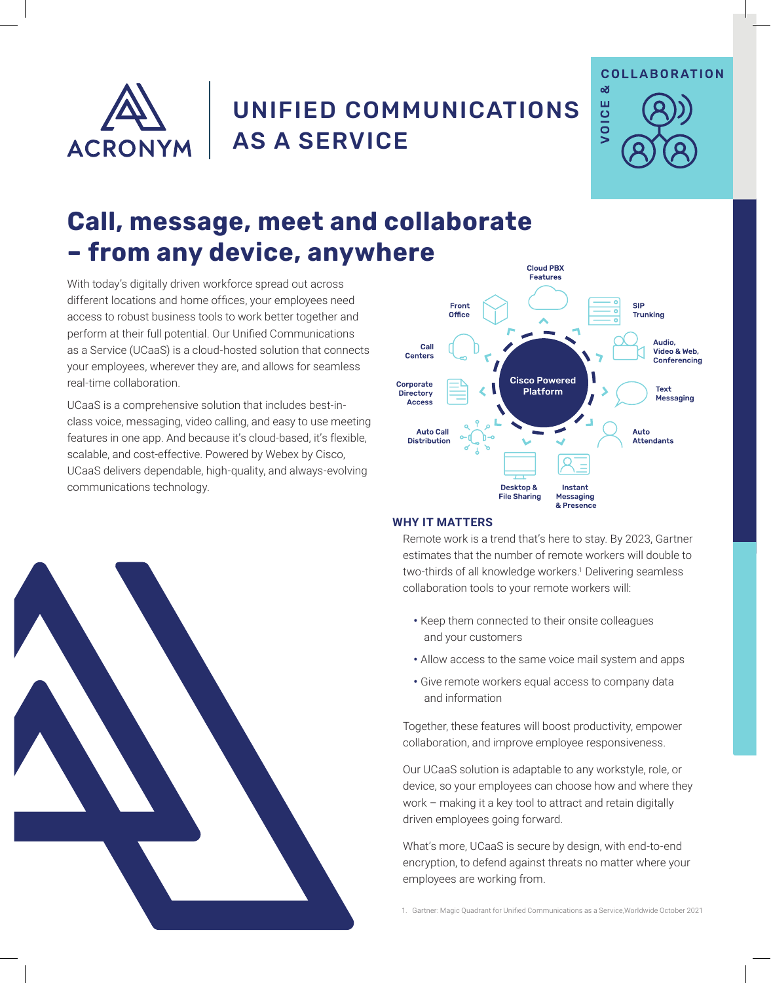

## UNIFIED COMMUNICATIONS AS A SERVICE



# **Call, message, meet and collaborate – from any device, anywhere**

With today's digitally driven workforce spread out across different locations and home offices, your employees need access to robust business tools to work better together and perform at their full potential. Our Unified Communications as a Service (UCaaS) is a cloud-hosted solution that connects your employees, wherever they are, and allows for seamless real-time collaboration.

UCaaS is a comprehensive solution that includes best-inclass voice, messaging, video calling, and easy to use meeting features in one app. And because it's cloud-based, it's flexible, scalable, and cost-effective. Powered by Webex by Cisco, UCaaS delivers dependable, high-quality, and always-evolving communications technology.



### **WHY IT MATTERS**

Remote work is a trend that's here to stay. By 2023, Gartner estimates that the number of remote workers will double to two-thirds of all knowledge workers.<sup>1</sup> Delivering seamless collaboration tools to your remote workers will:

- **•** Keep them connected to their onsite colleagues and your customers
- **•** Allow access to the same voice mail system and apps
- **•** Give remote workers equal access to company data and information

Together, these features will boost productivity, empower collaboration, and improve employee responsiveness.

Our UCaaS solution is adaptable to any workstyle, role, or device, so your employees can choose how and where they work – making it a key tool to attract and retain digitally driven employees going forward.

What's more, UCaaS is secure by design, with end-to-end encryption, to defend against threats no matter where your employees are working from.

1. Gartner: Magic Quadrant for Unified Communications as a Service,Worldwide October 2021